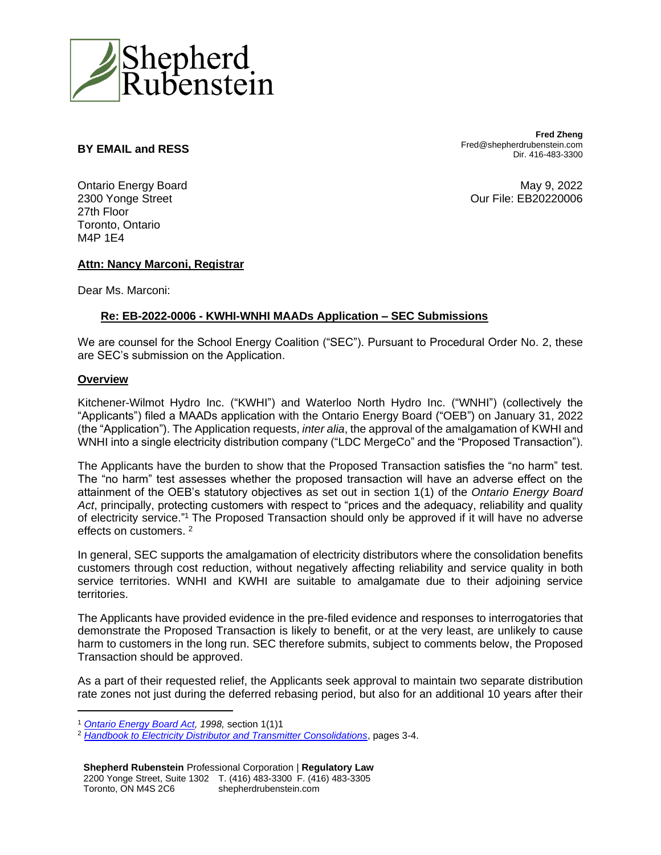

## **BY EMAIL and RESS**

**Fred Zheng** Fred@shepherdrubenstein.com Dir. 416-483-3300

Ontario Energy Board 2300 Yonge Street 27th Floor Toronto, Ontario M4P 1E4

May 9, 2022 Our File: EB20220006

### **Attn: Nancy Marconi, Registrar**

Dear Ms. Marconi:

## **Re: EB-2022-0006 - KWHI-WNHI MAADs Application – SEC Submissions**

We are counsel for the School Energy Coalition ("SEC"). Pursuant to Procedural Order No. 2, these are SEC's submission on the Application.

#### **Overview**

Kitchener-Wilmot Hydro Inc. ("KWHI") and Waterloo North Hydro Inc. ("WNHI") (collectively the "Applicants") filed a MAADs application with the Ontario Energy Board ("OEB") on January 31, 2022 (the "Application"). The Application requests, *inter alia*, the approval of the amalgamation of KWHI and WNHI into a single electricity distribution company ("LDC MergeCo" and the "Proposed Transaction").

The Applicants have the burden to show that the Proposed Transaction satisfies the "no harm" test. The "no harm" test assesses whether the proposed transaction will have an adverse effect on the attainment of the OEB's statutory objectives as set out in section 1(1) of the *Ontario Energy Board Act*, principally, protecting customers with respect to "prices and the adequacy, reliability and quality of electricity service." <sup>1</sup> The Proposed Transaction should only be approved if it will have no adverse effects on customers.<sup>2</sup>

In general, SEC supports the amalgamation of electricity distributors where the consolidation benefits customers through cost reduction, without negatively affecting reliability and service quality in both service territories. WNHI and KWHI are suitable to amalgamate due to their adjoining service territories.

The Applicants have provided evidence in the pre-filed evidence and responses to interrogatories that demonstrate the Proposed Transaction is likely to benefit, or at the very least, are unlikely to cause harm to customers in the long run. SEC therefore submits, subject to comments below, the Proposed Transaction should be approved.

As a part of their requested relief, the Applicants seek approval to maintain two separate distribution rate zones not just during the deferred rebasing period, but also for an additional 10 years after their

<sup>1</sup> *[Ontario Energy Board Act,](https://www.canlii.org/en/on/laws/stat/so-1998-c-15-sch-b/latest/so-1998-c-15-sch-b.html) 1998,* section 1(1)1

<sup>2</sup> *[Handbook to Electricity Distributor and Transmitter Consolidations](https://www.oeb.ca/oeb/_Documents/Regulatory/OEB_Handbook_Consolidation.pdf)*, pages 3-4.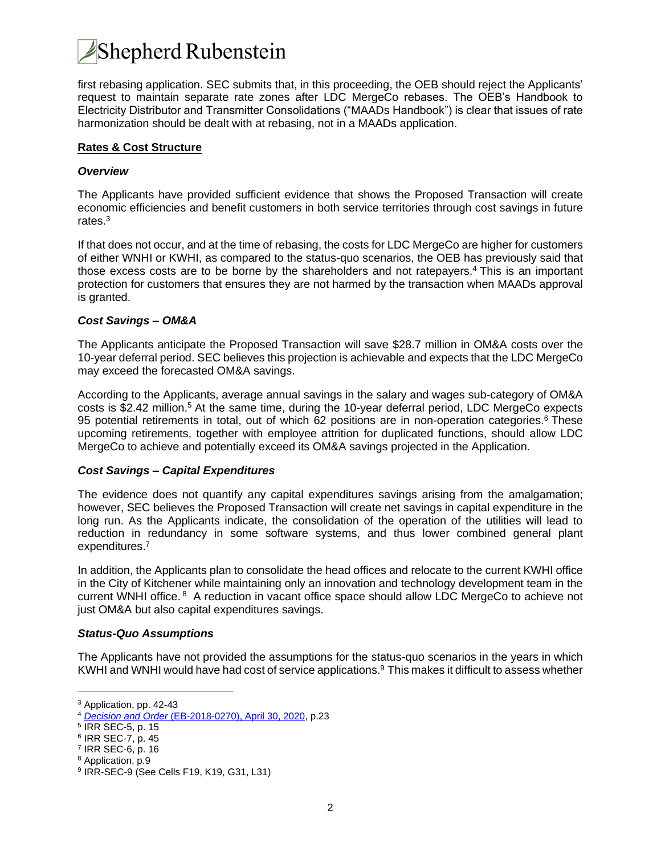

first rebasing application. SEC submits that, in this proceeding, the OEB should reject the Applicants' request to maintain separate rate zones after LDC MergeCo rebases. The OEB's Handbook to Electricity Distributor and Transmitter Consolidations ("MAADs Handbook") is clear that issues of rate harmonization should be dealt with at rebasing, not in a MAADs application.

#### **Rates & Cost Structure**

#### *Overview*

The Applicants have provided sufficient evidence that shows the Proposed Transaction will create economic efficiencies and benefit customers in both service territories through cost savings in future rates.<sup>3</sup>

If that does not occur, and at the time of rebasing, the costs for LDC MergeCo are higher for customers of either WNHI or KWHI, as compared to the status-quo scenarios, the OEB has previously said that those excess costs are to be borne by the shareholders and not ratepayers.<sup>4</sup> This is an important protection for customers that ensures they are not harmed by the transaction when MAADs approval is granted.

#### *Cost Savings – OM&A*

The Applicants anticipate the Proposed Transaction will save \$28.7 million in OM&A costs over the 10-year deferral period. SEC believes this projection is achievable and expects that the LDC MergeCo may exceed the forecasted OM&A savings.

According to the Applicants, average annual savings in the salary and wages sub-category of OM&A costs is \$2.42 million.<sup>5</sup> At the same time, during the 10-year deferral period, LDC MergeCo expects 95 potential retirements in total, out of which 62 positions are in non-operation categories.<sup>6</sup> These upcoming retirements, together with employee attrition for duplicated functions, should allow LDC MergeCo to achieve and potentially exceed its OM&A savings projected in the Application.

#### *Cost Savings – Capital Expenditures*

The evidence does not quantify any capital expenditures savings arising from the amalgamation; however, SEC believes the Proposed Transaction will create net savings in capital expenditure in the long run. As the Applicants indicate, the consolidation of the operation of the utilities will lead to reduction in redundancy in some software systems, and thus lower combined general plant expenditures. 7

In addition, the Applicants plan to consolidate the head offices and relocate to the current KWHI office in the City of Kitchener while maintaining only an innovation and technology development team in the current WNHI office.<sup>8</sup> A reduction in vacant office space should allow LDC MergeCo to achieve not just OM&A but also capital expenditures savings.

#### *Status-Quo Assumptions*

The Applicants have not provided the assumptions for the status-quo scenarios in the years in which KWHI and WNHI would have had cost of service applications. <sup>9</sup> This makes it difficult to assess whether

<sup>3</sup> Application, pp. 42-43

<sup>4</sup> *Decision and Order* [\(EB-2018-0270\), April 30, 2020,](https://www.rds.oeb.ca/CMWebDrawer/Record/675935/File/document) p.23

<sup>5</sup> IRR SEC-5, p. 15

<sup>6</sup> IRR SEC-7, p. 45

<sup>7</sup> IRR SEC-6, p. 16

<sup>8</sup> Application, p.9

<sup>9</sup> IRR-SEC-9 (See Cells F19, K19, G31, L31)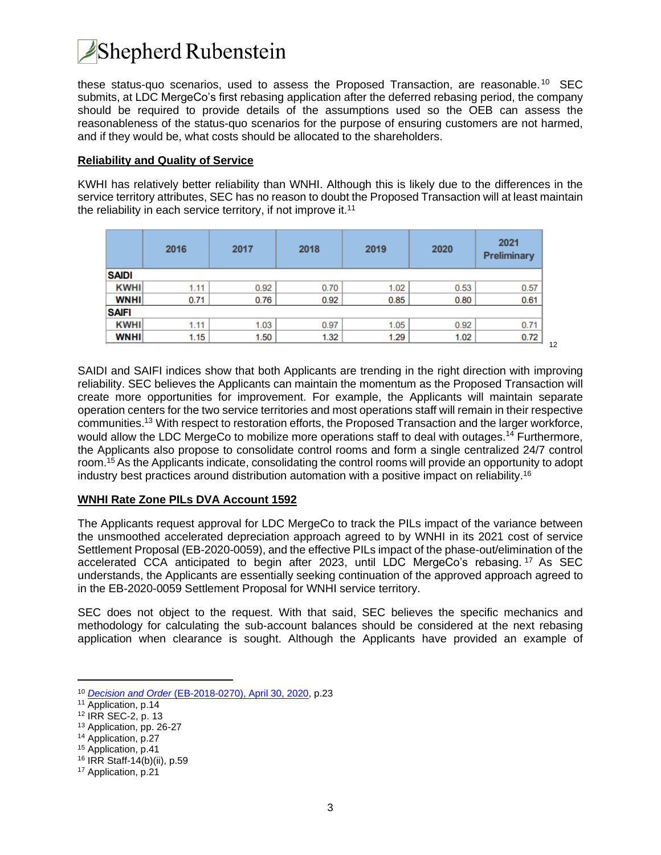# **Shepherd Rubenstein**

these status-quo scenarios, used to assess the Proposed Transaction, are reasonable. <sup>10</sup> SEC submits, at LDC MergeCo's first rebasing application after the deferred rebasing period, the company should be required to provide details of the assumptions used so the OEB can assess the reasonableness of the status-quo scenarios for the purpose of ensuring customers are not harmed, and if they would be, what costs should be allocated to the shareholders.

### **Reliability and Quality of Service**

KWHI has relatively better reliability than WNHI. Although this is likely due to the differences in the service territory attributes, SEC has no reason to doubt the Proposed Transaction will at least maintain the reliability in each service territory, if not improve it.<sup>11</sup>

|              | 2016 | 2017 | 2018 | 2019 | 2020 | 2021<br>Preliminary |  |  |
|--------------|------|------|------|------|------|---------------------|--|--|
| <b>SAIDI</b> |      |      |      |      |      |                     |  |  |
| <b>KWHI</b>  | 1.11 | 0.92 | 0.70 | 1.02 | 0.53 | 0.57                |  |  |
| <b>WNHI</b>  | 0.71 | 0.76 | 0.92 | 0.85 | 0.80 | 0.61                |  |  |
| <b>SAIFI</b> |      |      |      |      |      |                     |  |  |
| <b>KWHI</b>  | 1.11 | 1.03 | 0.97 | 1.05 | 0.92 | 0.71                |  |  |
| <b>WNHI</b>  | 1.15 | 1.50 | 1.32 | 1.29 | 1.02 | 0.72                |  |  |

SAIDI and SAIFI indices show that both Applicants are trending in the right direction with improving reliability. SEC believes the Applicants can maintain the momentum as the Proposed Transaction will create more opportunities for improvement. For example, the Applicants will maintain separate operation centers for the two service territories and most operations staff will remain in their respective communities.<sup>13</sup> With respect to restoration efforts, the Proposed Transaction and the larger workforce, would allow the LDC MergeCo to mobilize more operations staff to deal with outages.<sup>14</sup> Furthermore, the Applicants also propose to consolidate control rooms and form a single centralized 24/7 control room.<sup>15</sup> As the Applicants indicate, consolidating the control rooms will provide an opportunity to adopt industry best practices around distribution automation with a positive impact on reliability.<sup>16</sup>

12

## **WNHI Rate Zone PILs DVA Account 1592**

The Applicants request approval for LDC MergeCo to track the PILs impact of the variance between the unsmoothed accelerated depreciation approach agreed to by WNHI in its 2021 cost of service Settlement Proposal (EB-2020-0059), and the effective PILs impact of the phase-out/elimination of the accelerated CCA anticipated to begin after 2023, until LDC MergeCo's rebasing. <sup>17</sup> As SEC understands, the Applicants are essentially seeking continuation of the approved approach agreed to in the EB-2020-0059 Settlement Proposal for WNHI service territory.

SEC does not object to the request. With that said, SEC believes the specific mechanics and methodology for calculating the sub-account balances should be considered at the next rebasing application when clearance is sought. Although the Applicants have provided an example of

<sup>10</sup> *Decision and Order* [\(EB-2018-0270\), April 30, 2020,](https://www.rds.oeb.ca/CMWebDrawer/Record/675935/File/document) p.23

<sup>11</sup> Application, p.14

<sup>12</sup> IRR SEC-2, p. 13

<sup>13</sup> Application, pp. 26-27

<sup>14</sup> Application, p.27

<sup>15</sup> Application, p.41

<sup>16</sup> IRR Staff-14(b)(ii), p.59

<sup>17</sup> Application, p.21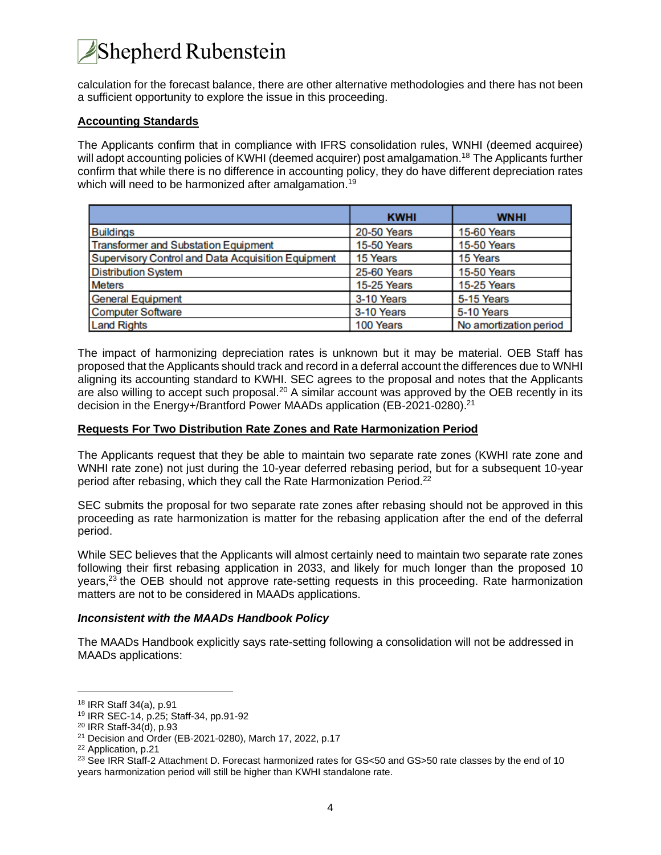# Shepherd Rubenstein

calculation for the forecast balance, there are other alternative methodologies and there has not been a sufficient opportunity to explore the issue in this proceeding.

## **Accounting Standards**

The Applicants confirm that in compliance with IFRS consolidation rules, WNHI (deemed acquiree) will adopt accounting policies of KWHI (deemed acquirer) post amalgamation.<sup>18</sup> The Applicants further confirm that while there is no difference in accounting policy, they do have different depreciation rates which will need to be harmonized after amalgamation.<sup>19</sup>

|                                                    | <b>KWHI</b>        | <b>WNHI</b>            |
|----------------------------------------------------|--------------------|------------------------|
| <b>Buildings</b>                                   | 20-50 Years        | 15-60 Years            |
| Transformer and Substation Equipment               | <b>15-50 Years</b> | 15-50 Years            |
| Supervisory Control and Data Acquisition Equipment | 15 Years           | 15 Years               |
| <b>Distribution System</b>                         | <b>25-60 Years</b> | 15-50 Years            |
| <b>Meters</b>                                      | <b>15-25 Years</b> | 15-25 Years            |
| <b>General Equipment</b>                           | 3-10 Years         | 5-15 Years             |
| <b>Computer Software</b>                           | 3-10 Years         | 5-10 Years             |
| <b>Land Rights</b>                                 | 100 Years          | No amortization period |

The impact of harmonizing depreciation rates is unknown but it may be material. OEB Staff has proposed that the Applicants should track and record in a deferral account the differences due to WNHI aligning its accounting standard to KWHI. SEC agrees to the proposal and notes that the Applicants are also willing to accept such proposal.<sup>20</sup> A similar account was approved by the OEB recently in its decision in the Energy+/Brantford Power MAADs application (EB-2021-0280).<sup>21</sup>

### **Requests For Two Distribution Rate Zones and Rate Harmonization Period**

The Applicants request that they be able to maintain two separate rate zones (KWHI rate zone and WNHI rate zone) not just during the 10-year deferred rebasing period, but for a subsequent 10-year period after rebasing, which they call the Rate Harmonization Period.<sup>22</sup>

SEC submits the proposal for two separate rate zones after rebasing should not be approved in this proceeding as rate harmonization is matter for the rebasing application after the end of the deferral period.

While SEC believes that the Applicants will almost certainly need to maintain two separate rate zones following their first rebasing application in 2033, and likely for much longer than the proposed 10 years,<sup>23</sup> the OEB should not approve rate-setting requests in this proceeding. Rate harmonization matters are not to be considered in MAADs applications.

### *Inconsistent with the MAADs Handbook Policy*

The MAADs Handbook explicitly says rate-setting following a consolidation will not be addressed in MAADs applications:

<sup>18</sup> IRR Staff 34(a), p.91

<sup>19</sup> IRR SEC-14, p.25; Staff-34, pp.91-92

<sup>20</sup> IRR Staff-34(d), p.93

<sup>21</sup> Decision and Order (EB-2021-0280), March 17, 2022, p.17

<sup>22</sup> Application, p.21

<sup>&</sup>lt;sup>23</sup> See IRR Staff-2 Attachment D. Forecast harmonized rates for GS<50 and GS>50 rate classes by the end of 10 years harmonization period will still be higher than KWHI standalone rate.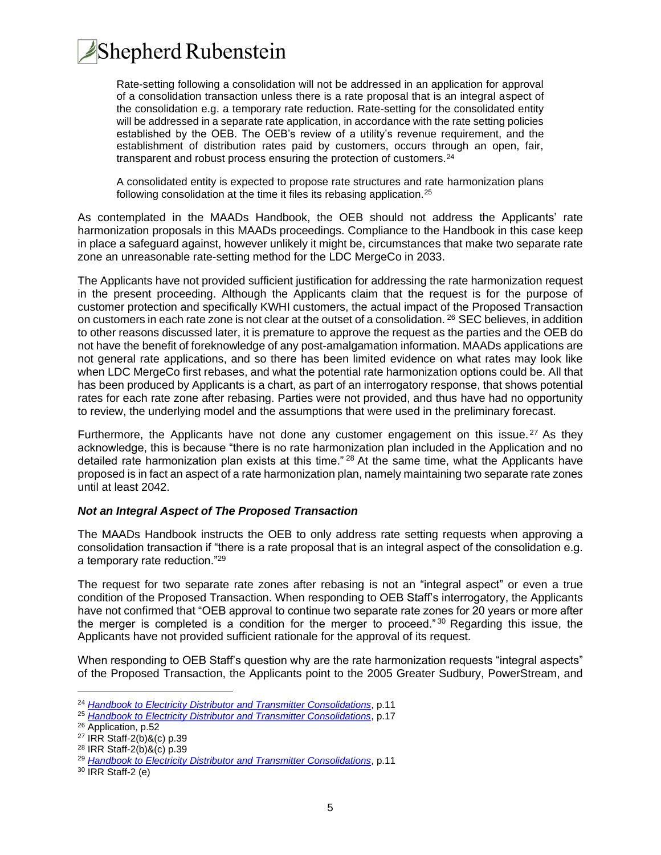

Rate-setting following a consolidation will not be addressed in an application for approval of a consolidation transaction unless there is a rate proposal that is an integral aspect of the consolidation e.g. a temporary rate reduction. Rate-setting for the consolidated entity will be addressed in a separate rate application, in accordance with the rate setting policies established by the OEB. The OEB's review of a utility's revenue requirement, and the establishment of distribution rates paid by customers, occurs through an open, fair, transparent and robust process ensuring the protection of customers.<sup>24</sup>

A consolidated entity is expected to propose rate structures and rate harmonization plans following consolidation at the time it files its rebasing application.<sup>25</sup>

As contemplated in the MAADs Handbook, the OEB should not address the Applicants' rate harmonization proposals in this MAADs proceedings. Compliance to the Handbook in this case keep in place a safeguard against, however unlikely it might be, circumstances that make two separate rate zone an unreasonable rate-setting method for the LDC MergeCo in 2033.

The Applicants have not provided sufficient justification for addressing the rate harmonization request in the present proceeding. Although the Applicants claim that the request is for the purpose of customer protection and specifically KWHI customers, the actual impact of the Proposed Transaction on customers in each rate zone is not clear at the outset of a consolidation. <sup>26</sup> SEC believes, in addition to other reasons discussed later, it is premature to approve the request as the parties and the OEB do not have the benefit of foreknowledge of any post-amalgamation information. MAADs applications are not general rate applications, and so there has been limited evidence on what rates may look like when LDC MergeCo first rebases, and what the potential rate harmonization options could be. All that has been produced by Applicants is a chart, as part of an interrogatory response, that shows potential rates for each rate zone after rebasing. Parties were not provided, and thus have had no opportunity to review, the underlying model and the assumptions that were used in the preliminary forecast.

Furthermore, the Applicants have not done any customer engagement on this issue.<sup>27</sup> As they acknowledge, this is because "there is no rate harmonization plan included in the Application and no detailed rate harmonization plan exists at this time." <sup>28</sup> At the same time, what the Applicants have proposed is in fact an aspect of a rate harmonization plan, namely maintaining two separate rate zones until at least 2042.

#### *Not an Integral Aspect of The Proposed Transaction*

The MAADs Handbook instructs the OEB to only address rate setting requests when approving a consolidation transaction if "there is a rate proposal that is an integral aspect of the consolidation e.g. a temporary rate reduction."<sup>29</sup>

The request for two separate rate zones after rebasing is not an "integral aspect" or even a true condition of the Proposed Transaction. When responding to OEB Staff's interrogatory, the Applicants have not confirmed that "OEB approval to continue two separate rate zones for 20 years or more after the merger is completed is a condition for the merger to proceed." <sup>30</sup> Regarding this issue, the Applicants have not provided sufficient rationale for the approval of its request.

When responding to OEB Staff's question why are the rate harmonization requests "integral aspects" of the Proposed Transaction, the Applicants point to the 2005 Greater Sudbury, PowerStream, and

<sup>24</sup> *[Handbook to Electricity Distributor](https://www.oeb.ca/oeb/_Documents/Regulatory/OEB_Handbook_Consolidation.pdf) and Transmitter Consolidations*, p.11

<sup>25</sup> *[Handbook to Electricity Distributor and Transmitter Consolidations](https://www.oeb.ca/oeb/_Documents/Regulatory/OEB_Handbook_Consolidation.pdf)*, p.17

<sup>&</sup>lt;sup>26</sup> Application, p.52

<sup>27</sup> IRR Staff-2(b)&(c) p.39

<sup>28</sup> IRR Staff-2(b)&(c) p.39

<sup>29</sup> *[Handbook to Electricity Distributor and Transmitter Consolidations](https://www.oeb.ca/oeb/_Documents/Regulatory/OEB_Handbook_Consolidation.pdf)*, p.11

<sup>30</sup> IRR Staff-2 (e)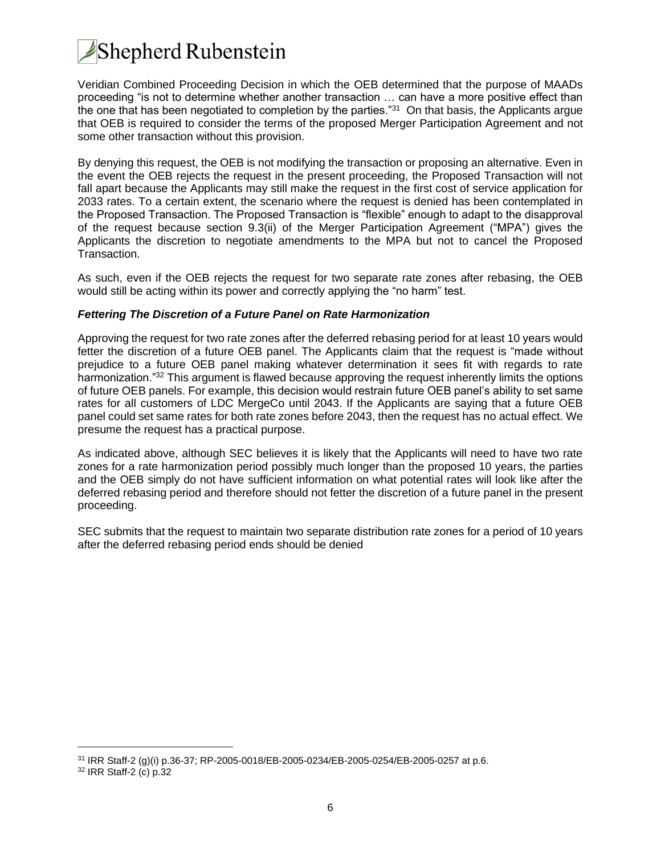# **Shepherd Rubenstein**

Veridian Combined Proceeding Decision in which the OEB determined that the purpose of MAADs proceeding "is not to determine whether another transaction … can have a more positive effect than the one that has been negotiated to completion by the parties."<sup>31</sup> On that basis, the Applicants argue that OEB is required to consider the terms of the proposed Merger Participation Agreement and not some other transaction without this provision.

By denying this request, the OEB is not modifying the transaction or proposing an alternative. Even in the event the OEB rejects the request in the present proceeding, the Proposed Transaction will not fall apart because the Applicants may still make the request in the first cost of service application for 2033 rates. To a certain extent, the scenario where the request is denied has been contemplated in the Proposed Transaction. The Proposed Transaction is "flexible" enough to adapt to the disapproval of the request because section 9.3(ii) of the Merger Participation Agreement ("MPA") gives the Applicants the discretion to negotiate amendments to the MPA but not to cancel the Proposed Transaction.

As such, even if the OEB rejects the request for two separate rate zones after rebasing, the OEB would still be acting within its power and correctly applying the "no harm" test.

## *Fettering The Discretion of a Future Panel on Rate Harmonization*

Approving the request for two rate zones after the deferred rebasing period for at least 10 years would fetter the discretion of a future OEB panel. The Applicants claim that the request is "made without prejudice to a future OEB panel making whatever determination it sees fit with regards to rate harmonization."<sup>32</sup> This argument is flawed because approving the request inherently limits the options of future OEB panels. For example, this decision would restrain future OEB panel's ability to set same rates for all customers of LDC MergeCo until 2043. If the Applicants are saying that a future OEB panel could set same rates for both rate zones before 2043, then the request has no actual effect. We presume the request has a practical purpose.

As indicated above, although SEC believes it is likely that the Applicants will need to have two rate zones for a rate harmonization period possibly much longer than the proposed 10 years, the parties and the OEB simply do not have sufficient information on what potential rates will look like after the deferred rebasing period and therefore should not fetter the discretion of a future panel in the present proceeding.

SEC submits that the request to maintain two separate distribution rate zones for a period of 10 years after the deferred rebasing period ends should be denied

<sup>31</sup> IRR Staff-2 (g)(i) p.36-37; RP-2005-0018/EB-2005-0234/EB-2005-0254/EB-2005-0257 at p.6.

<sup>32</sup> IRR Staff-2 (c) p.32